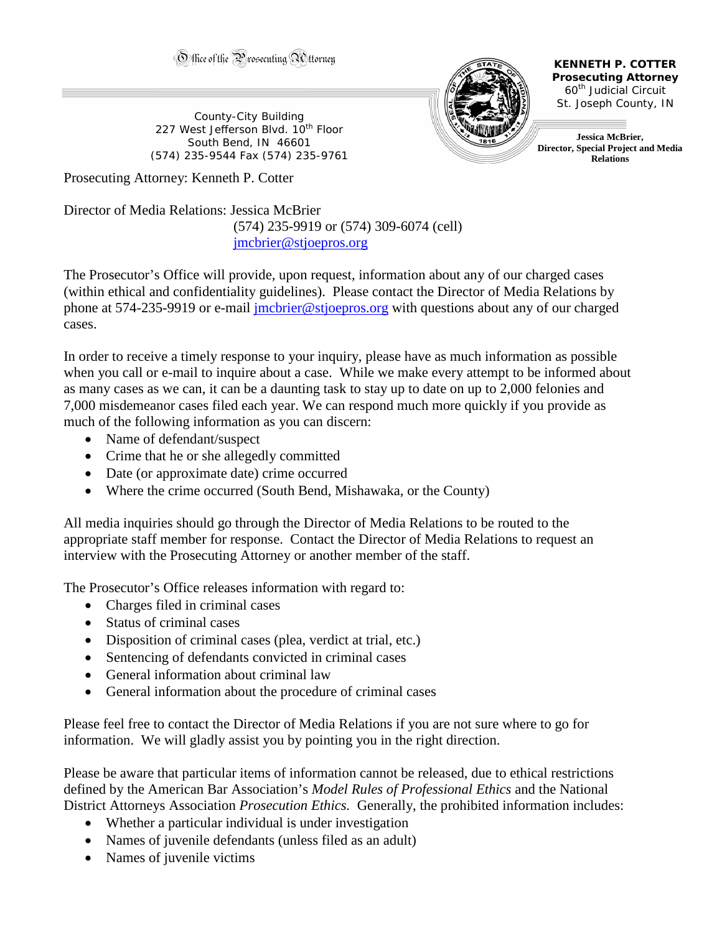Office of the Prosecuting Attorney

County-City Building 227 West Jefferson Blvd. 10<sup>th</sup> Floor South Bend, IN 46601 (574) 235-9544 Fax (574) 235-9761



**KENNETH P. COTTER Prosecuting Attorney** 60th Judicial Circuit St. Joseph County, IN

**Jessica McBrier, Director, Special Project and Media Relations** 

Prosecuting Attorney: Kenneth P. Cotter

Director of Media Relations: Jessica McBrier (574) 235-9919 or (574) 309-6074 (cell) [jmcbrier@stjoepros.org](mailto:jmcbrier@stjoepros.org)

The Prosecutor's Office will provide, upon request, information about any of our charged cases (within ethical and confidentiality guidelines). Please contact the Director of Media Relations by phone at 574-235-9919 or e-mail [jmcbrier@stjoepros.org](mailto:jmcbrier@stjoepros.org) with questions about any of our charged cases.

In order to receive a timely response to your inquiry, please have as much information as possible when you call or e-mail to inquire about a case. While we make every attempt to be informed about as many cases as we can, it can be a daunting task to stay up to date on up to 2,000 felonies and 7,000 misdemeanor cases filed each year. We can respond much more quickly if you provide as much of the following information as you can discern:

- Name of defendant/suspect
- Crime that he or she allegedly committed
- Date (or approximate date) crime occurred
- Where the crime occurred (South Bend, Mishawaka, or the County)

All media inquiries should go through the Director of Media Relations to be routed to the appropriate staff member for response. Contact the Director of Media Relations to request an interview with the Prosecuting Attorney or another member of the staff.

The Prosecutor's Office releases information with regard to:

- Charges filed in criminal cases
- Status of criminal cases
- Disposition of criminal cases (plea, verdict at trial, etc.)
- Sentencing of defendants convicted in criminal cases
- General information about criminal law
- General information about the procedure of criminal cases

Please feel free to contact the Director of Media Relations if you are not sure where to go for information. We will gladly assist you by pointing you in the right direction.

Please be aware that particular items of information cannot be released, due to ethical restrictions defined by the American Bar Association's *Model Rules of Professional Ethics* and the National District Attorneys Association *Prosecution Ethics.* Generally, the prohibited information includes:

- Whether a particular individual is under investigation
- Names of juvenile defendants (unless filed as an adult)
- Names of juvenile victims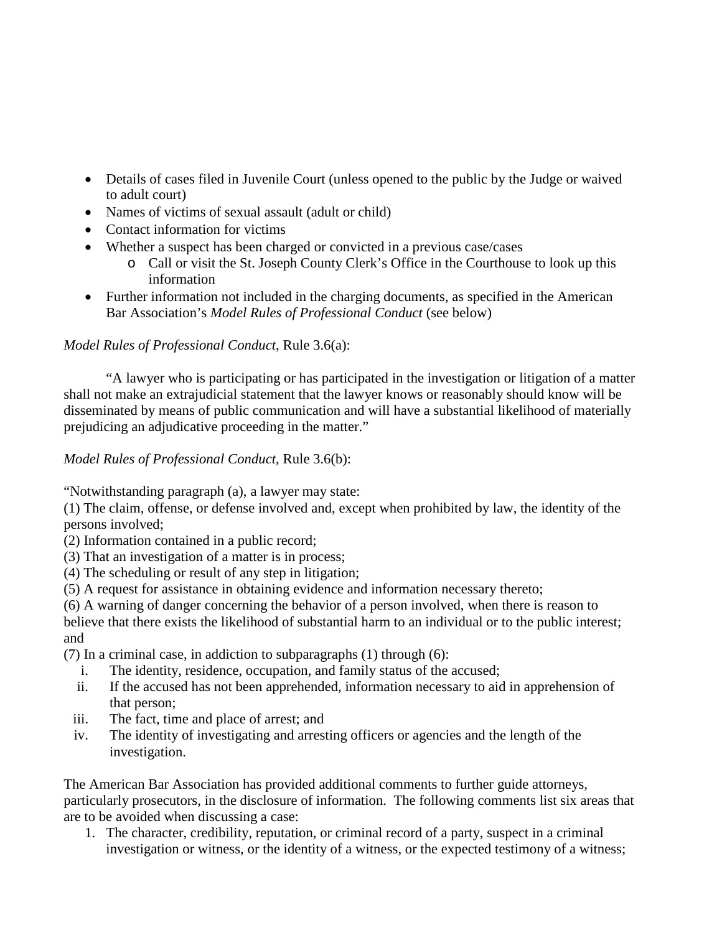- Details of cases filed in Juvenile Court (unless opened to the public by the Judge or waived to adult court)
- Names of victims of sexual assault (adult or child)
- Contact information for victims
- Whether a suspect has been charged or convicted in a previous case/cases
	- o Call or visit the St. Joseph County Clerk's Office in the Courthouse to look up this information
- Further information not included in the charging documents, as specified in the American Bar Association's *Model Rules of Professional Conduct* (see below)

## *Model Rules of Professional Conduct*, Rule 3.6(a):

"A lawyer who is participating or has participated in the investigation or litigation of a matter shall not make an extrajudicial statement that the lawyer knows or reasonably should know will be disseminated by means of public communication and will have a substantial likelihood of materially prejudicing an adjudicative proceeding in the matter."

*Model Rules of Professional Conduct*, Rule 3.6(b):

"Notwithstanding paragraph (a), a lawyer may state:

(1) The claim, offense, or defense involved and, except when prohibited by law, the identity of the persons involved;

- (2) Information contained in a public record;
- (3) That an investigation of a matter is in process;
- (4) The scheduling or result of any step in litigation;
- (5) A request for assistance in obtaining evidence and information necessary thereto;

(6) A warning of danger concerning the behavior of a person involved, when there is reason to believe that there exists the likelihood of substantial harm to an individual or to the public interest; and

(7) In a criminal case, in addiction to subparagraphs (1) through (6):

- i. The identity, residence, occupation, and family status of the accused;
- ii. If the accused has not been apprehended, information necessary to aid in apprehension of that person;
- iii. The fact, time and place of arrest; and
- iv. The identity of investigating and arresting officers or agencies and the length of the investigation.

The American Bar Association has provided additional comments to further guide attorneys, particularly prosecutors, in the disclosure of information. The following comments list six areas that are to be avoided when discussing a case:

1. The character, credibility, reputation, or criminal record of a party, suspect in a criminal investigation or witness, or the identity of a witness, or the expected testimony of a witness;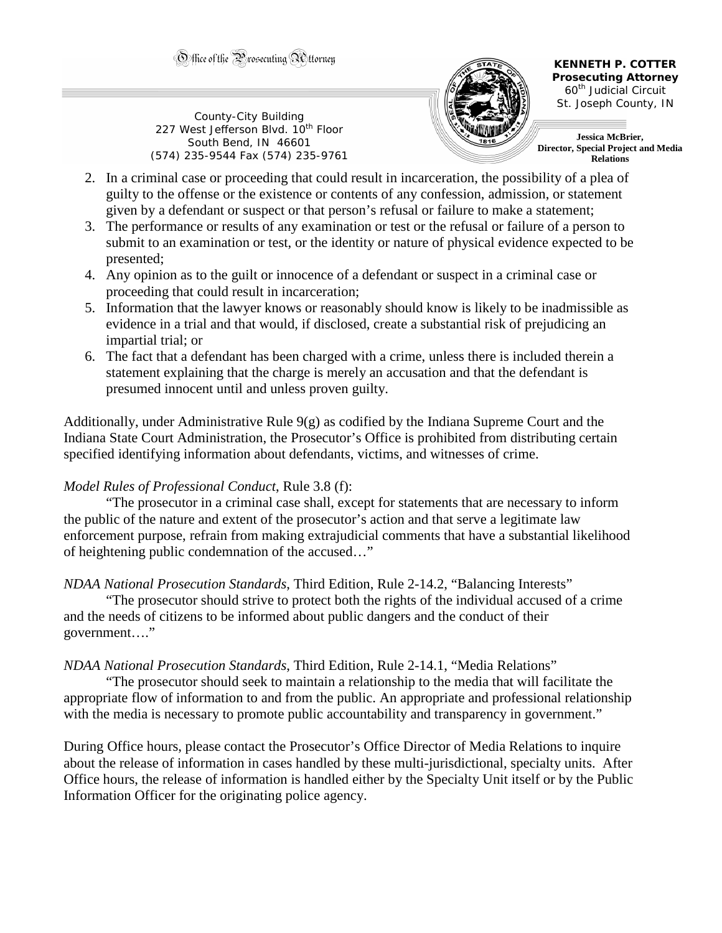County-City Building 227 West Jefferson Blvd. 10<sup>th</sup> Floor South Bend, IN 46601 (574) 235-9544 Fax (574) 235-9761



**KENNETH P. COTTER Prosecuting Attorney** 60th Judicial Circuit St. Joseph County, IN

**Jessica McBrier, Director, Special Project and Media Relations** 

- 2. In a criminal case or proceeding that could result in incarceration, the possibility of a plea of guilty to the offense or the existence or contents of any confession, admission, or statement given by a defendant or suspect or that person's refusal or failure to make a statement;
- 3. The performance or results of any examination or test or the refusal or failure of a person to submit to an examination or test, or the identity or nature of physical evidence expected to be presented;
- 4. Any opinion as to the guilt or innocence of a defendant or suspect in a criminal case or proceeding that could result in incarceration;
- 5. Information that the lawyer knows or reasonably should know is likely to be inadmissible as evidence in a trial and that would, if disclosed, create a substantial risk of prejudicing an impartial trial; or
- 6. The fact that a defendant has been charged with a crime, unless there is included therein a statement explaining that the charge is merely an accusation and that the defendant is presumed innocent until and unless proven guilty.

Additionally, under Administrative Rule 9(g) as codified by the Indiana Supreme Court and the Indiana State Court Administration, the Prosecutor's Office is prohibited from distributing certain specified identifying information about defendants, victims, and witnesses of crime.

## *Model Rules of Professional Conduct*, Rule 3.8 (f):

"The prosecutor in a criminal case shall, except for statements that are necessary to inform the public of the nature and extent of the prosecutor's action and that serve a legitimate law enforcement purpose, refrain from making extrajudicial comments that have a substantial likelihood of heightening public condemnation of the accused…"

*NDAA National Prosecution Standards*, Third Edition, Rule 2-14.2, "Balancing Interests"

"The prosecutor should strive to protect both the rights of the individual accused of a crime and the needs of citizens to be informed about public dangers and the conduct of their government…."

## *NDAA National Prosecution Standards*, Third Edition, Rule 2-14.1, "Media Relations"

"The prosecutor should seek to maintain a relationship to the media that will facilitate the appropriate flow of information to and from the public. An appropriate and professional relationship with the media is necessary to promote public accountability and transparency in government."

During Office hours, please contact the Prosecutor's Office Director of Media Relations to inquire about the release of information in cases handled by these multi-jurisdictional, specialty units. After Office hours, the release of information is handled either by the Specialty Unit itself or by the Public Information Officer for the originating police agency.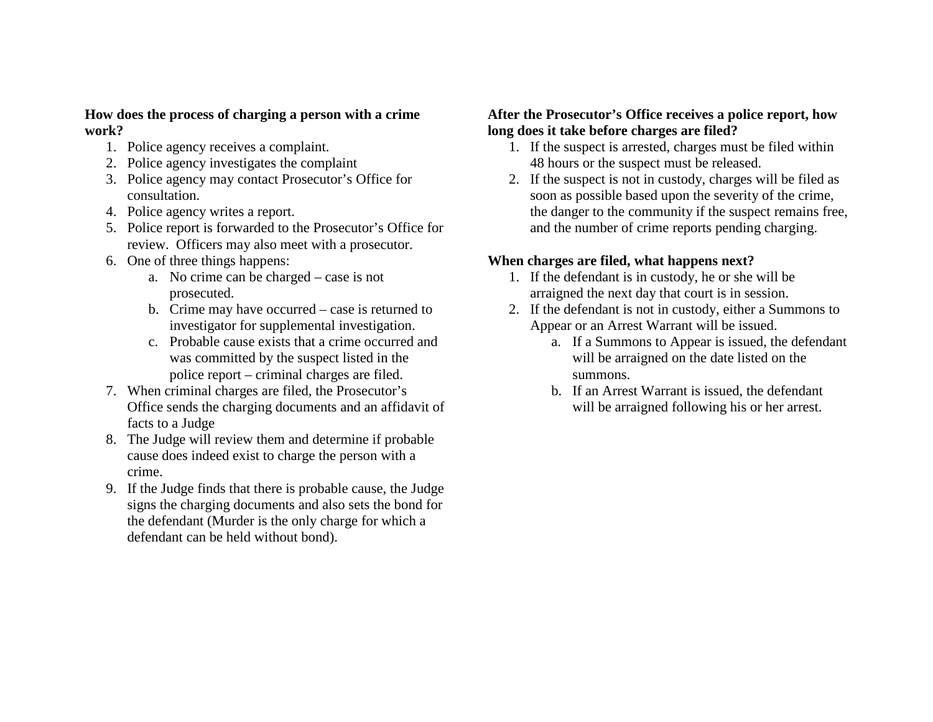## **How does the process of charging a person with a crime work?**

- 1. Police agency receives a complaint.
- 2. Police agency investigates the complaint
- 3. Police agency may contact Prosecutor's Office for consultation.
- 4. Police agency writes a report.
- 5. Police report is forwarded to the Prosecutor's Office for review. Officers may also meet with a prosecutor.
- 6. One of three things happens:
	- a. No crime can be charged case is not prosecuted.
	- b. Crime may have occurred case is returned to investigator for supplemental investigation.
	- c. Probable cause exists that a crime occurred and was committed by the suspect listed in the police report – criminal charges are filed.
- 7. When criminal charges are filed, the Prosecutor's Office sends the charging documents and an affidavit of facts to a Judge
- 8. The Judge will review them and determine if probable cause does indeed exist to charge the person with a crime.
- 9. If the Judge finds that there is probable cause, the Judge signs the charging documents and also sets the bond for the defendant (Murder is the only charge for which a defendant can be held without bond).

## **After the Prosecutor's Office receives a police report, how long does it take before charges are filed?**

- 1. If the suspect is arrested, charges must be filed within 48 hours or the suspect must be released.
- 2. If the suspect is not in custody, charges will be filed as soon as possible based upon the severity of the crime, the danger to the community if the suspect remains free, and the number of crime reports pending charging.

## **When charges are filed, what happens next?**

- 1. If the defendant is in custody, he or she will be arraigned the next day that court is in session.
- 2. If the defendant is not in custody, either a Summons to Appear or an Arrest Warrant will be issued.
	- a. If a Summons to Appear is issued, the defendant will be arraigned on the date listed on the summons.
	- b. If an Arrest Warrant is issued, the defendant will be arraigned following his or her arrest.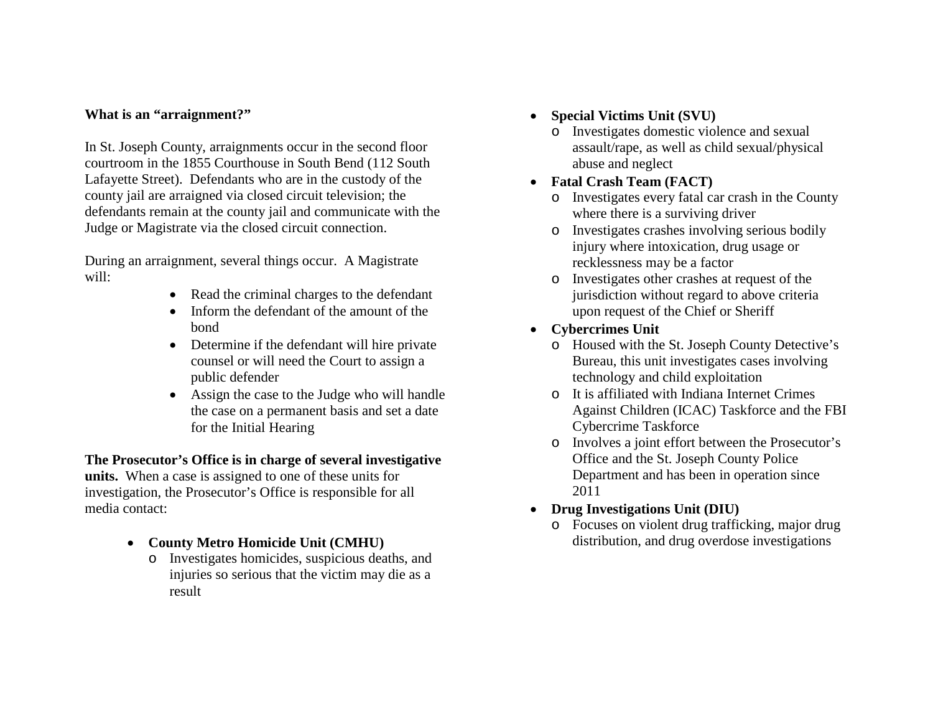## **What is an "arraignment?"**

In St. Joseph County, arraignments occur in the second floor courtroom in the 1855 Courthouse in South Bend (112 South Lafayette Street). Defendants who are in the custody of the county jail are arraigned via closed circuit television; the defendants remain at the county jail and communicate with the Judge or Magistrate via the closed circuit connection.

During an arraignment, several things occur. A Magistrate will:

- Read the criminal charges to the defendant
- Inform the defendant of the amount of the bond
- Determine if the defendant will hire private counsel or will need the Court to assign a public defender
- Assign the case to the Judge who will handle the case on a permanent basis and set a date for the Initial Hearing

# **The Prosecutor's Office is in charge of several investigative**

**units.** When a case is assigned to one of these units for investigation, the Prosecutor's Office is responsible for all media contact:

- **County Metro Homicide Unit (CMHU)**
	- o Investigates homicides, suspicious deaths, and injuries so serious that the victim may die as a result
- **Special Victims Unit (SVU)**
	- o Investigates domestic violence and sexual assault/rape, as well as child sexual/physical abuse and neglect
- **Fatal Crash Team (FACT)**
	- o Investigates every fatal car crash in the County where there is a surviving driver
	- o Investigates crashes involving serious bodily injury where intoxication, drug usage or recklessness may be a factor
	- o Investigates other crashes at request of the jurisdiction without regard to above criteria upon request of the Chief or Sheriff
- **Cybercrimes Unit**
	- o Housed with the St. Joseph County Detective's Bureau, this unit investigates cases involving technology and child exploitation
	- o It is affiliated with Indiana Internet Crimes Against Children (ICAC) Taskforce and the FBI Cybercrime Taskforce
	- o Involves a joint effort between the Prosecutor's Office and the St. Joseph County Police Department and has been in operation since 2011
- **Drug Investigations Unit (DIU)**
	- o Focuses on violent drug trafficking, major drug distribution, and drug overdose investigations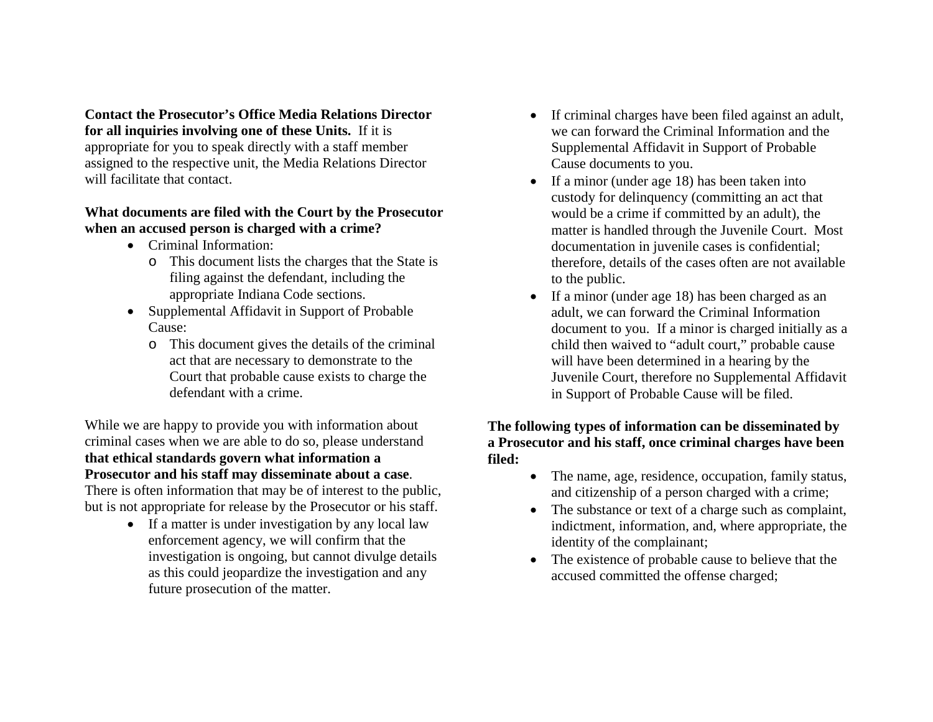**Contact the Prosecutor's Office Media Relations Director for all inquiries involving one of these Units.** If it is appropriate for you to speak directly with a staff member assigned to the respective unit, the Media Relations Director will facilitate that contact.

## **What documents are filed with the Court by the Prosecutor when an accused person is charged with a crime?**

- Criminal Information:
	- o This document lists the charges that the State is filing against the defendant, including the appropriate Indiana Code sections.
- Supplemental Affidavit in Support of Probable Cause:
	- o This document gives the details of the criminal act that are necessary to demonstrate to the Court that probable cause exists to charge the defendant with a crime.

While we are happy to provide you with information about criminal cases when we are able to do so, please understand **that ethical standards govern what information a Prosecutor and his staff may disseminate about a case**.

There is often information that may be of interest to the public, but is not appropriate for release by the Prosecutor or his staff.

> • If a matter is under investigation by any local law enforcement agency, we will confirm that the investigation is ongoing, but cannot divulge details as this could jeopardize the investigation and any future prosecution of the matter.

- If criminal charges have been filed against an adult, we can forward the Criminal Information and the Supplemental Affidavit in Support of Probable Cause documents to you.
- If a minor (under age 18) has been taken into custody for delinquency (committing an act that would be a crime if committed by an adult), the matter is handled through the Juvenile Court. Most documentation in juvenile cases is confidential; therefore, details of the cases often are not available to the public.
- If a minor (under age 18) has been charged as an adult, we can forward the Criminal Information document to you. If a minor is charged initially as a child then waived to "adult court," probable cause will have been determined in a hearing by the Juvenile Court, therefore no Supplemental Affidavit in Support of Probable Cause will be filed.

#### **The following types of information can be disseminated by a Prosecutor and his staff, once criminal charges have been filed:**

- The name, age, residence, occupation, family status, and citizenship of a person charged with a crime;
- The substance or text of a charge such as complaint, indictment, information, and, where appropriate, the identity of the complainant;
- The existence of probable cause to believe that the accused committed the offense charged;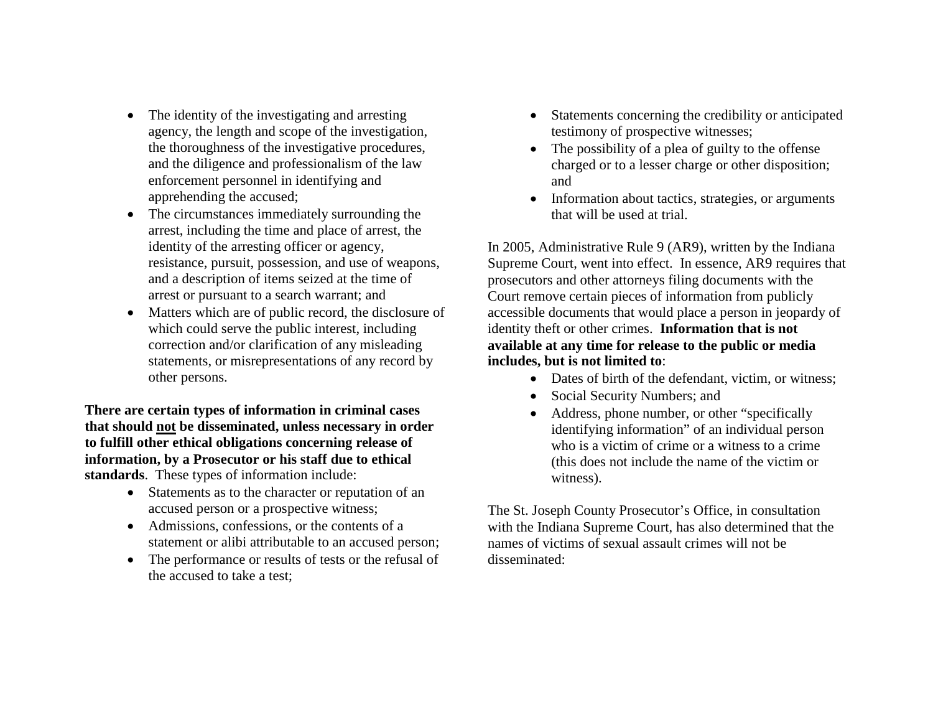- The identity of the investigating and arresting agency, the length and scope of the investigation, the thoroughness of the investigative procedures, and the diligence and professionalism of the law enforcement personnel in identifying and apprehending the accused;
- The circumstances immediately surrounding the arrest, including the time and place of arrest, the identity of the arresting officer or agency, resistance, pursuit, possession, and use of weapons, and a description of items seized at the time of arrest or pursuant to a search warrant; and
- Matters which are of public record, the disclosure of which could serve the public interest, including correction and/or clarification of any misleading statements, or misrepresentations of any record by other persons.

**There are certain types of information in criminal cases that should not be disseminated, unless necessary in order to fulfill other ethical obligations concerning release of information, by a Prosecutor or his staff due to ethical standards**. These types of information include:

- Statements as to the character or reputation of an accused person or a prospective witness;
- Admissions, confessions, or the contents of a statement or alibi attributable to an accused person;
- The performance or results of tests or the refusal of the accused to take a test;
- Statements concerning the credibility or anticipated testimony of prospective witnesses;
- The possibility of a plea of guilty to the offense charged or to a lesser charge or other disposition; and
- Information about tactics, strategies, or arguments that will be used at trial.

In 2005, Administrative Rule 9 (AR9), written by the Indiana Supreme Court, went into effect. In essence, AR9 requires that prosecutors and other attorneys filing documents with the Court remove certain pieces of information from publicly accessible documents that would place a person in jeopardy of identity theft or other crimes. **Information that is not available at any time for release to the public or media includes, but is not limited to**:

- Dates of birth of the defendant, victim, or witness;
- Social Security Numbers; and
- Address, phone number, or other "specifically identifying information" of an individual person who is a victim of crime or a witness to a crime (this does not include the name of the victim or witness).

The St. Joseph County Prosecutor's Office, in consultation with the Indiana Supreme Court, has also determined that the names of victims of sexual assault crimes will not be disseminated: